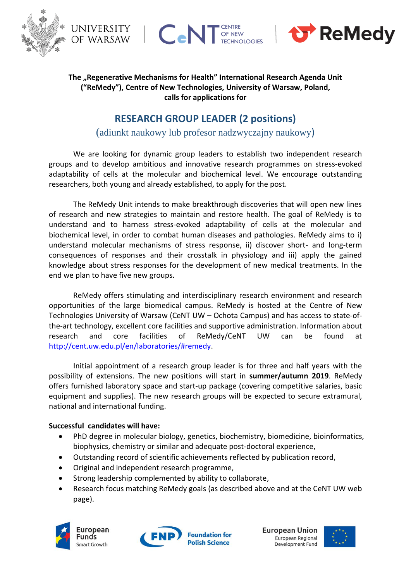

UNIVERSITY  $C_{\mathbf{e}}$ of warsaw



## The "Regenerative Mechanisms for Health" International Research Agenda Unit **("ReMedy"), Centre of New Technologies, University of Warsaw, Poland, calls for applications for**

OF NEW

**TECHNOLOGIES** 

# **RESEARCH GROUP LEADER (2 positions)**

(adiunkt naukowy lub profesor nadzwyczajny naukowy)

We are looking for dynamic group leaders to establish two independent research groups and to develop ambitious and innovative research programmes on stress-evoked adaptability of cells at the molecular and biochemical level. We encourage outstanding researchers, both young and already established, to apply for the post.

The ReMedy Unit intends to make breakthrough discoveries that will open new lines of research and new strategies to maintain and restore health. The goal of ReMedy is to understand and to harness stress-evoked adaptability of cells at the molecular and biochemical level, in order to combat human diseases and pathologies. ReMedy aims to i) understand molecular mechanisms of stress response, ii) discover short- and long-term consequences of responses and their crosstalk in physiology and iii) apply the gained knowledge about stress responses for the development of new medical treatments. In the end we plan to have five new groups.

ReMedy offers stimulating and interdisciplinary research environment and research opportunities of the large biomedical campus. ReMedy is hosted at the Centre of New Technologies University of Warsaw (CeNT UW – Ochota Campus) and has access to state-ofthe-art technology, excellent core facilities and supportive administration. Information about research and core facilities of ReMedy/CeNT UW can be found at [http://cent.uw.edu.pl/en/laboratories/#remedy.](http://cent.uw.edu.pl/en/laboratories/#remedy)

Initial appointment of a research group leader is for three and half years with the possibility of extensions. The new positions will start in **summer/autumn 2019**. ReMedy offers furnished laboratory space and start-up package (covering competitive salaries, basic equipment and supplies). The new research groups will be expected to secure extramural, national and international funding.

### **Successful candidates will have:**

- PhD degree in molecular biology, genetics, biochemistry, biomedicine, bioinformatics, biophysics, chemistry or similar and adequate post-doctoral experience,
- Outstanding record of scientific achievements reflected by publication record,
- Original and independent research programme,
- Strong leadership complemented by ability to collaborate,
- Research focus matching ReMedy goals (as described above and at the CeNT UW web page).







European Union European Regional Development Fund

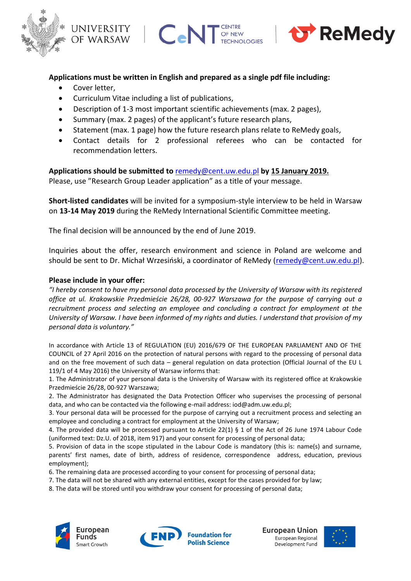





#### **Applications must be written in English and prepared as a single pdf file including:**

- Cover letter,
- Curriculum Vitae including a list of publications,
- Description of 1-3 most important scientific achievements (max. 2 pages),
- Summary (max. 2 pages) of the applicant's future research plans,
- Statement (max. 1 page) how the future research plans relate to ReMedy goals,
- Contact details for 2 professional referees who can be contacted for recommendation letters.

**Applications should be submitted to** [remedy@cent.uw.edu.pl](mailto:remedy@cent.uw.edu.pl) **by 15 January 2019.** Please, use "Research Group Leader application" as a title of your message.

**Short-listed candidates** will be invited for a symposium-style interview to be held in Warsaw on **13-14 May 2019** during the ReMedy International Scientific Committee meeting.

The final decision will be announced by the end of June 2019.

Inquiries about the offer, research environment and science in Poland are welcome and should be sent to Dr. Michał Wrzesiński, a coordinator of ReMedy ([remedy@cent.uw.edu.pl\)](mailto:remedy@cent.uw.edu.pl).

#### **Please include in your offer:**

*"I hereby consent to have my personal data processed by the University of Warsaw with its registered office at ul. Krakowskie Przedmieście 26/28, 00-927 Warszawa for the purpose of carrying out a recruitment process and selecting an employee and concluding a contract for employment at the University of Warsaw. I have been informed of my rights and duties. I understand that provision of my personal data is voluntary."*

In accordance with Article 13 of REGULATION (EU) 2016/679 OF THE EUROPEAN PARLIAMENT AND OF THE COUNCIL of 27 April 2016 on the protection of natural persons with regard to the processing of personal data and on the free movement of such data – general regulation on data protection (Official Journal of the EU L 119/1 of 4 May 2016) the University of Warsaw informs that:

1. The Administrator of your personal data is the University of Warsaw with its registered office at Krakowskie Przedmieście 26/28, 00-927 Warszawa;

2. The Administrator has designated the Data Protection Officer who supervises the processing of personal data, and who can be contacted via the following e-mail address: iod@adm.uw.edu.pl;

3. Your personal data will be processed for the purpose of carrying out a recruitment process and selecting an employee and concluding a contract for employment at the University of Warsaw;

4. The provided data will be processed pursuant to Article 22(1) § 1 of the Act of 26 June 1974 Labour Code (uniformed text: Dz.U. of 2018, item 917) and your consent for processing of personal data;

5. Provision of data in the scope stipulated in the Labour Code is mandatory (this is: name(s) and surname, parents' first names, date of birth, address of residence, correspondence address, education, previous employment);

6. The remaining data are processed according to your consent for processing of personal data;

7. The data will not be shared with any external entities, except for the cases provided for by law;

8. The data will be stored until you withdraw your consent for processing of personal data;





European Union European Regional Development Fund